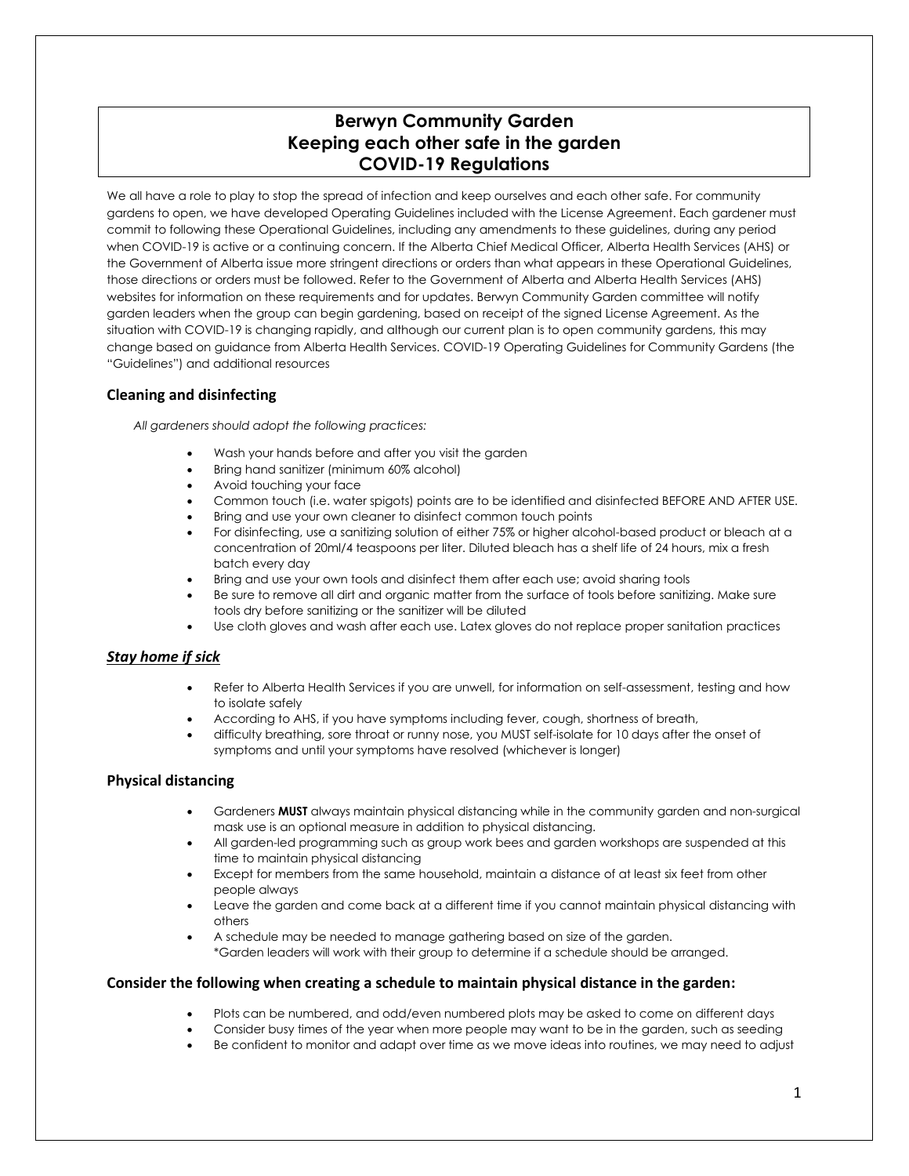# **Berwyn Community Garden Keeping each other safe in the garden COVID-19 Regulations**

We all have a role to play to stop the spread of infection and keep ourselves and each other safe. For community gardens to open, we have developed Operating Guidelines included with the License Agreement. Each gardener must commit to following these Operational Guidelines, including any amendments to these guidelines, during any period when COVID-19 is active or a continuing concern. If the Alberta Chief Medical Officer, Alberta Health Services (AHS) or the Government of Alberta issue more stringent directions or orders than what appears in these Operational Guidelines, those directions or orders must be followed. Refer to the Government of Alberta and Alberta Health Services (AHS) websites for information on these requirements and for updates. Berwyn Community Garden committee will notify garden leaders when the group can begin gardening, based on receipt of the signed License Agreement. As the situation with COVID-19 is changing rapidly, and although our current plan is to open community gardens, this may change based on guidance from Alberta Health Services. COVID-19 Operating Guidelines for Community Gardens (the "Guidelines") and additional resources

## **Cleaning and disinfecting**

*All gardeners should adopt the following practices:*

- Wash your hands before and after you visit the garden
- Bring hand sanitizer (minimum 60% alcohol)
- Avoid touching your face
- Common touch (i.e. water spigots) points are to be identified and disinfected BEFORE AND AFTER USE.
- Bring and use your own cleaner to disinfect common touch points
- For disinfecting, use a sanitizing solution of either 75% or higher alcohol-based product or bleach at a concentration of 20ml/4 teaspoons per liter. Diluted bleach has a shelf life of 24 hours, mix a fresh batch every day
- Bring and use your own tools and disinfect them after each use; avoid sharing tools
- Be sure to remove all dirt and organic matter from the surface of tools before sanitizing. Make sure tools dry before sanitizing or the sanitizer will be diluted
- Use cloth gloves and wash after each use. Latex gloves do not replace proper sanitation practices

## *Stay home if sick*

- Refer to Alberta Health Services if you are unwell, for information on self-assessment, testing and how to isolate safely
- According to AHS, if you have symptoms including fever, cough, shortness of breath,
- difficulty breathing, sore throat or runny nose, you MUST self-isolate for 10 days after the onset of symptoms and until your symptoms have resolved (whichever is longer)

## **Physical distancing**

- Gardeners **MUST** always maintain physical distancing while in the community garden and non-surgical mask use is an optional measure in addition to physical distancing.
- All garden-led programming such as group work bees and garden workshops are suspended at this time to maintain physical distancing
- Except for members from the same household, maintain a distance of at least six feet from other people always
- Leave the garden and come back at a different time if you cannot maintain physical distancing with others
- A schedule may be needed to manage gathering based on size of the garden. \*Garden leaders will work with their group to determine if a schedule should be arranged.

## **Consider the following when creating a schedule to maintain physical distance in the garden:**

- Plots can be numbered, and odd/even numbered plots may be asked to come on different days
- Consider busy times of the year when more people may want to be in the garden, such as seeding
- Be confident to monitor and adapt over time as we move ideas into routines, we may need to adjust